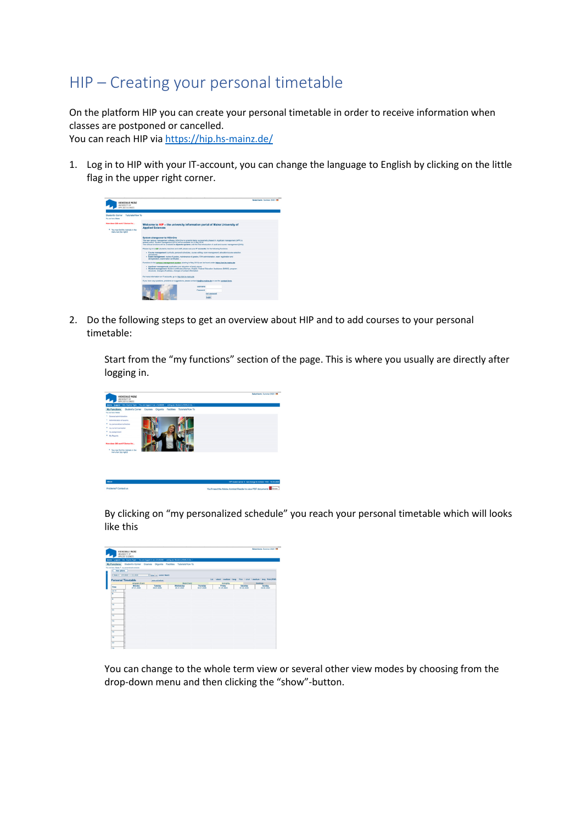## HIP – Creating your personal timetable

On the platform HIP you can create your personal timetable in order to receive information when classes are postponed or cancelled.

You can reach HIP via<https://hip.hs-mainz.de/>

1. Log in to HIP with your IT-account, you can change the language to English by clicking on the little flag in the upper right corner.



2. Do the following steps to get an overview about HIP and to add courses to your personal timetable:

Start from the "my functions" section of the page. This is where you usually are directly after logging in.



By clicking on "my personalized schedule" you reach your personal timetable which will looks like this



You can change to the whole term view or several other view modes by choosing from the drop-down menu and then clicking the "show"-button.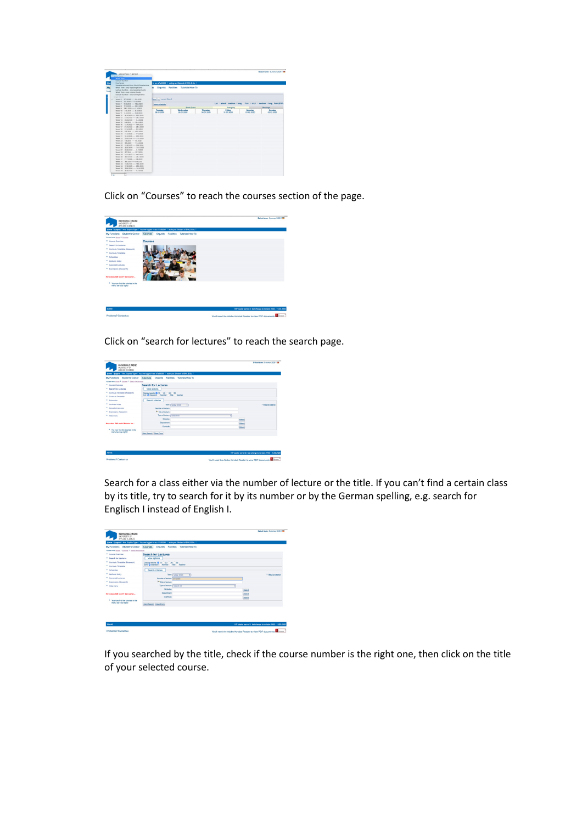|                  | <b><i>HAFIRFORD F. MATAT</i></b>                                           |                           |                                                   |            |                                                                        |            | <b>Relact term: Summer 2020   IM</b> |
|------------------|----------------------------------------------------------------------------|---------------------------|---------------------------------------------------|------------|------------------------------------------------------------------------|------------|--------------------------------------|
|                  | drived Viewer                                                              |                           |                                                   |            |                                                                        |            |                                      |
|                  | <b>Whole Term</b><br><b>Lecture Duration</b>                               |                           |                                                   |            |                                                                        |            |                                      |
|                  | Free Period                                                                |                           | in as: s7a38299   acting as: Student of BW, B.Sc. |            |                                                                        |            |                                      |
|                  | Samesternshaminht nur Block Einnehaming                                    |                           |                                                   |            |                                                                        |            |                                      |
|                  | Whole Term - only repeating Events                                         | ш                         | Orgunits Facilities Tutorials/How To              |            |                                                                        |            |                                      |
| <b>South Ave</b> | Lecture Duration - only repeating Eventy.                                  |                           |                                                   |            |                                                                        |            |                                      |
|                  | Whole Term - only running Events<br>Lecture Duration - only running Events |                           |                                                   |            |                                                                        |            |                                      |
|                  | single Mindex                                                              |                           |                                                   |            |                                                                        |            |                                      |
|                  | Week 5 2712020 --- 2.2.2020                                                | phone (non-second Meak 5) |                                                   |            |                                                                        |            |                                      |
|                  | Week 6 3.2.2020  9.2.2020                                                  |                           |                                                   |            | List + short + medium + long Plan: + short + medium + long Print (PDF) |            |                                      |
|                  | Week: 7 10.2.2020 ---- 16.3.2020<br>Week 8 17.2.2020 --- 23.2.2020         | says arbadule             |                                                   |            |                                                                        |            |                                      |
|                  | Week 9 24.2.2020 --- 1.3.2020                                              |                           | <b>Block Event</b>                                |            | fortnightly                                                            |            | Bookings                             |
|                  | Week: 50 2.5 2020  6.5 2020                                                | Tuesday                   | Wednesday                                         | Thursday   | Friday                                                                 | Saturday   | Sunday                               |
|                  | Week: 11 9.3.2020 --- 15.3.2020                                            | 28.01.2020                | 29.01.2020                                        | 30.01.2020 | 31.01.2020                                                             | 01.02.2020 | 02.02.2020                           |
|                  | Week, 12 16.3.2020 ---- 22.3.2020<br>Week: 13 23.3.1030  24.3.2020         |                           |                                                   |            |                                                                        |            |                                      |
|                  | Week: 14 NO 5 1013 ---- 5.4 9320                                           |                           |                                                   |            |                                                                        |            |                                      |
|                  | Week: 15 6.4.2020 ---- 12.4.2020                                           |                           |                                                   |            |                                                                        |            |                                      |
|                  | Week: M 13.4.2020  16.4.2020                                               |                           |                                                   |            |                                                                        |            |                                      |
|                  | Wayn: 17 30.4 5030  24.4 5030                                              |                           |                                                   |            |                                                                        |            |                                      |
|                  | Week: 18 27.4.2020 ---- 3.5.2020                                           |                           |                                                   |            |                                                                        |            |                                      |
|                  | Week: 10 4.5.2020  10.5.2020                                               |                           |                                                   |            |                                                                        |            |                                      |
|                  | Week: 20 115, 2020 ---- 175, 2020<br>Week: 21 18.5.2020 ---- 24.5.2020     |                           |                                                   |            |                                                                        |            |                                      |
|                  | Week 22 25.5.2030 --- 31.5.2020                                            |                           |                                                   |            |                                                                        |            |                                      |
|                  | Week: 23    1.6.2020  7.6.2020                                             |                           |                                                   |            |                                                                        |            |                                      |
|                  | Week 24 8.6.2020 ---- 14.6.2020                                            |                           |                                                   |            |                                                                        |            |                                      |
|                  | Week: 25 15.4.2020 ---- 21.4.2020                                          |                           |                                                   |            |                                                                        |            |                                      |
|                  | Week 26 22 6 2020  24 6 2020                                               |                           |                                                   |            |                                                                        |            |                                      |
|                  | Week: 27 29.6.2020 ---- 5.7.2020                                           |                           |                                                   |            |                                                                        |            |                                      |
|                  | Week 28 6.7.2020 --- 12.7.2020<br>Week 29 13,7,2020 --- 19,7,2020          |                           |                                                   |            |                                                                        |            |                                      |
|                  | Wash 90 30, 2020  24, 7, 2020                                              |                           |                                                   |            |                                                                        |            |                                      |
|                  | Week: 31 277 2020 ---- 2.8.2020                                            |                           |                                                   |            |                                                                        |            |                                      |
|                  | Week 32 3.8.2020 ---- 9.8.2020                                             |                           |                                                   |            |                                                                        |            |                                      |
|                  | Week: 33 10-8-2030  16-8-2030                                              |                           |                                                   |            |                                                                        |            |                                      |
|                  | Week: 54 174 1030  23.4 2030                                               |                           |                                                   |            |                                                                        |            |                                      |
|                  | Week: 35 24.8.2020 --- 30.8.2020                                           |                           |                                                   |            |                                                                        |            |                                      |
|                  | Week 36 31.4.2030  6.5.2020                                                |                           |                                                   |            |                                                                        |            |                                      |

Click on "Courses" to reach the courses section of the page.



Click on "search for lectures" to reach the search page.

| * Help for search |
|-------------------|
|                   |
|                   |
|                   |
| Select            |
| Select            |
| Select            |
|                   |
|                   |
|                   |
|                   |

Search for a class either via the number of lecture or the title. If you can't find a certain class by its title, try to search for it by its number or by the German spelling, e.g. search for Englisch I instead of English I.

| <b>Student's Corner</b><br>My Functions                      |                                                                                  |                                              |               |                               |
|--------------------------------------------------------------|----------------------------------------------------------------------------------|----------------------------------------------|---------------|-------------------------------|
|                                                              | Courses                                                                          | Organits Facilities Tutorials/How To         |               |                               |
| You are here Home # Courses # Search for Lectures            |                                                                                  |                                              |               |                               |
| <sup>8</sup> Course Overview                                 | Search for Lectures                                                              |                                              |               |                               |
| <b>Search for Lastures</b>                                   | View cotions                                                                     |                                              |               |                               |
| Curricula Timetable (Research)                               | Display results: (3 10 (1 30 (1 30 (1 50)<br>Sot & Standard Number Title Teacher |                                              |               |                               |
| <sup>*</sup> Curricula Timetable                             |                                                                                  |                                              |               |                               |
| <sup>8</sup> Schedules                                       | Search criterias                                                                 |                                              |               |                               |
| Lectures today                                               |                                                                                  | Term   ScSe 2020<br>$\overline{\phantom{a}}$ |               | <sup>31</sup> Help for search |
| <sup>8</sup> Canceled Lectures                               | Number of lecture   821-211-6                                                    |                                              |               |                               |
| Examplans (Research)                                         | <b>W</b> Yite of lecture                                                         |                                              |               |                               |
| <b>Hide menu</b>                                             | Type of letham Select All                                                        | π                                            |               |                               |
|                                                              | Modules                                                                          |                                              | Select        |                               |
| How does OR work? Demos for                                  | <b>Department</b>                                                                |                                              | Select        |                               |
|                                                              | Curricula                                                                        |                                              | <b>Gelect</b> |                               |
| * You now find the tutorials in the<br>menu bar (top right)! |                                                                                  |                                              |               |                               |
|                                                              | Start Search Clear Form                                                          |                                              |               |                               |

If you searched by the title, check if the course number is the right one, then click on the title of your selected course.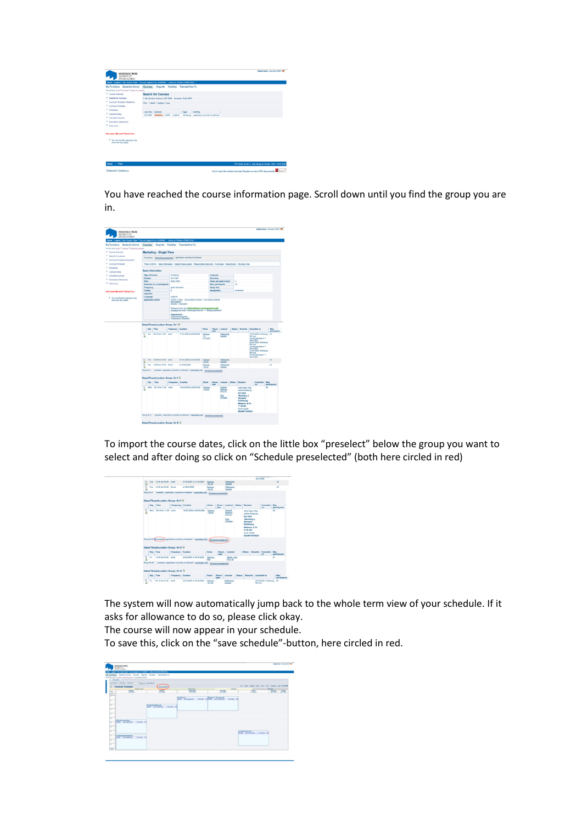

You have reached the course information page. Scroll down until you find the group you are in.



To import the course dates, click on the little box "preselect" below the group you want to select and after doing so click on "Schedule preselected" (both here circled in red)

|   |            |                                                  |                           |                                                                                                        |                         |                                        |                                                                      |                                                                 | April 2020.                                            | <b>FULLIVE SERVICE IT!</b> |                       |
|---|------------|--------------------------------------------------|---------------------------|--------------------------------------------------------------------------------------------------------|-------------------------|----------------------------------------|----------------------------------------------------------------------|-----------------------------------------------------------------|--------------------------------------------------------|----------------------------|-----------------------|
| o | Tom.       | 13:30 his 10:45 work                             |                           | 07.04.2020 to 21.04.2020                                                                               | Campus<br><b>LA3.04</b> |                                        | <b>Hilahrandt</b><br><b>Isabelle</b>                                 |                                                                 |                                                        |                            | 42                    |
| G | Town       | 13:30 bis 10:45 Einzel                           |                           | at 05.05.2020                                                                                          | Campus<br>$-0.3.04$     |                                        | Hillebrandt,<br>lasbelle                                             |                                                                 |                                                        |                            | 42                    |
|   |            |                                                  |                           | Group Or t: C preselect application currently not allowed ill application info                         |                         | Schedule preselected                   |                                                                      |                                                                 |                                                        |                            |                       |
|   |            | Dates/Times/Location Group: Gr II 3              |                           |                                                                                                        |                         |                                        |                                                                      |                                                                 |                                                        |                            |                       |
|   | Day        | Time                                             | <b>Frequency Duration</b> |                                                                                                        | <b>Room</b>             | stan                                   | <b>Room: Lechiner Status Bernarks</b>                                |                                                                 |                                                        | Cancelled<br>an.           | Max.<br>participants  |
| G | <b>War</b> | 08:15 bis 11:30                                  | <b>MAYB</b>               | 18.03.2020 to 26.06.2020                                                                               | Campus<br>$-0.100$      |                                        | Eickhoff<br><b>Matthias</b><br>Prof. Dr.<br><b>Wild</b><br>Christian | 021-2354<br>Marketing 3.<br>Semester<br>Einführung<br>11:30 Uhr | siehe Open Olat.<br>ordina Watesing<br>Mittwoch, 8:15- |                            | $\overline{a}$        |
|   |            |                                                  |                           |                                                                                                        |                         |                                        |                                                                      | OLAT CODE                                                       | <b>BR-MKTOVR520</b>                                    |                            |                       |
|   |            | Dates/Times/Location Group: Gr III &<br>Day Time | <b>Frequency Duration</b> | Group Gr II: (5) preselect application currently not allowed > application info (Schedule preselected) | Ragm                    | oten                                   | <b>Room: Lecturer</b>                                                | Status                                                          |                                                        | Remarks Cancelled<br>on.   | Max.<br>participants  |
| G | <b>CH</b>  | 13:30 bis 16:45 work                             |                           | 20.03.2020 to 26.06.2020                                                                               | Campus -<br>Kite        |                                        | Reder, Jörn.<br>Prof. Dr.                                            |                                                                 |                                                        |                            | 41                    |
|   |            | Dates/Times/Location Group: Gr IV 3<br>Day Time  | Frequency Duration        | Group Or III: Presentect application currently not allowed 1/ application info                         | Rapes                   | Schedule preselected<br>Room.<br>očan. | Lesturer                                                             |                                                                 | Status Remarks Cancelled on                            |                            | Max.<br>particleants. |

The system will now automatically jump back to the whole term view of your schedule. If it asks for allowance to do so, please click okay.

The course will now appear in your schedule.

To save this, click on the "save schedule"-button, here circled in red.